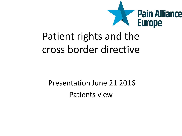

# Patient rights and the cross border directive

Presentation June 21 2016 Patients view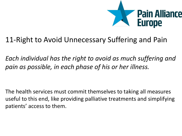

## 11-Right to Avoid Unnecessary Suffering and Pain

*Each individual has the right to avoid as much suffering and pain as possible, in each phase of his or her illness.* 

The health services must commit themselves to taking all measures useful to this end, like providing palliative treatments and simplifying patients' access to them.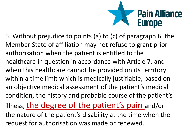

5. Without prejudice to points (a) to (c) of paragraph 6, the Member State of affiliation may not refuse to grant prior authorisation when the patient is entitled to the healthcare in question in accordance with Article 7, and when this healthcare cannot be provided on its territory within a time limit which is medically justifiable, based on an objective medical assessment of the patient's medical condition, the history and probable course of the patient's illness, the degree of the patient's pain and/or the nature of the patient's disability at the time when the request for authorisation was made or renewed.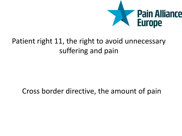

## Patient right 11, the right to avoid unnecessary suffering and pain

## Cross border directive, the amount of pain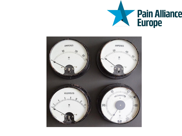

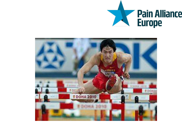

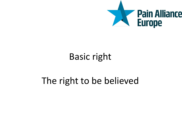

## Basic right

## The right to be believed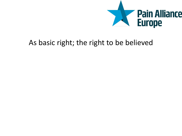

## As basic right; the right to be believed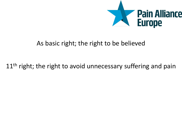

#### As basic right; the right to be believed

### $11<sup>th</sup>$  right; the right to avoid unnecessary suffering and pain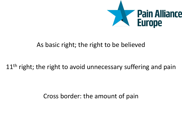

#### As basic right; the right to be believed

### $11<sup>th</sup>$  right; the right to avoid unnecessary suffering and pain

Cross border: the amount of pain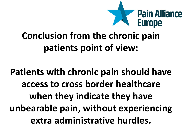

# **Conclusion from the chronic pain patients point of view:**

**Patients with chronic pain should have access to cross border healthcare when they indicate they have unbearable pain, without experiencing extra administrative hurdles.**